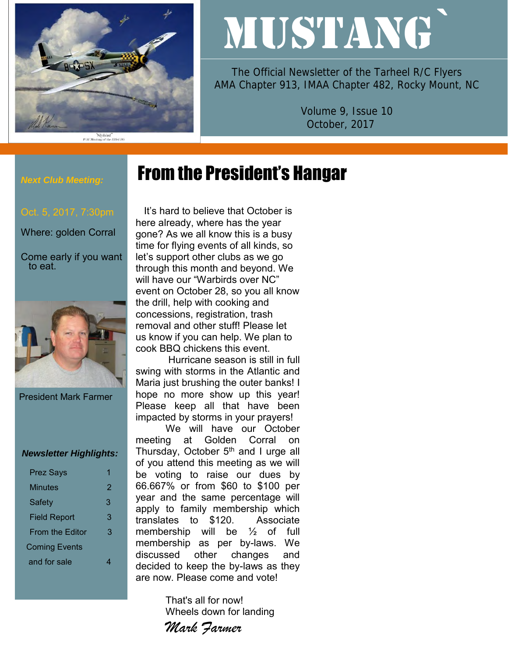

# MUSTANG`

The Official Newsletter of the Tarheel R/C Flyers AMA Chapter 913, IMAA Chapter 482, Rocky Mount, NC

> Volume 9, Issue 10 October, 2017

## From the President's Hangar

#### *Next Club Meeting:*

Where: golden Corral

Come early if you want to eat.



President Mark Farmer

#### *Newsletter Highlights:*

| <b>Prez Says</b>       |   |
|------------------------|---|
| Minutes                | 2 |
| Safety                 | 3 |
| <b>Field Report</b>    | 3 |
| <b>From the Editor</b> | 3 |
| <b>Coming Events</b>   |   |
| and for sale           |   |

 It's hard to believe that October is here already, where has the year gone? As we all know this is a busy time for flying events of all kinds, so let's support other clubs as we go through this month and beyond. We will have our "Warbirds over NC" event on October 28, so you all know the drill, help with cooking and concessions, registration, trash removal and other stuff! Please let us know if you can help. We plan to cook BBQ chickens this event.

Hurricane season is still in full swing with storms in the Atlantic and Maria just brushing the outer banks! I hope no more show up this year! Please keep all that have been impacted by storms in your prayers!

We will have our October meeting at Golden Corral on Thursday, October  $5<sup>th</sup>$  and I urge all of you attend this meeting as we will be voting to raise our dues by 66.667% or from \$60 to \$100 per year and the same percentage will apply to family membership which translates to \$120. Associate membership will be ½ of full membership as per by-laws. We discussed other changes and decided to keep the by-laws as they are now. Please come and vote!

> That's all for now! Wheels down for landing

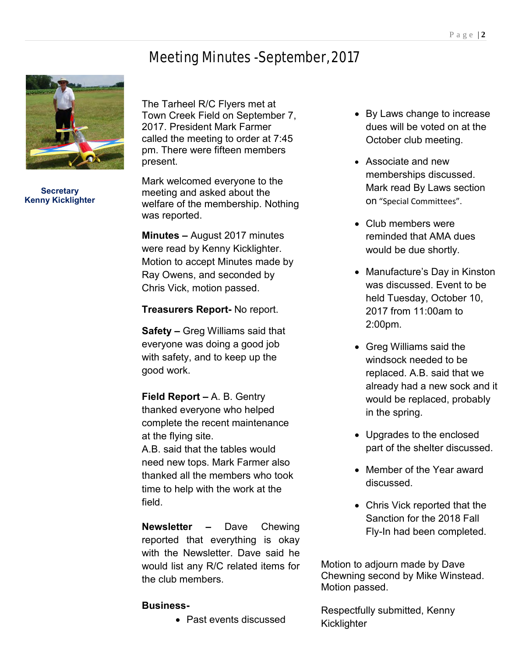## Meeting Minutes -September, 2017



**Secretary Kenny Kicklighter**

The Tarheel R/C Flyers met at Town Creek Field on September 7, 2017. President Mark Farmer called the meeting to order at 7:45 pm. There were fifteen members present.

Mark welcomed everyone to the meeting and asked about the welfare of the membership. Nothing was reported.

**Minutes –** August 2017 minutes were read by Kenny Kicklighter. Motion to accept Minutes made by Ray Owens, and seconded by Chris Vick, motion passed.

**Treasurers Report-** No report.

**Safety –** Greg Williams said that everyone was doing a good job with safety, and to keep up the good work.

**Field Report –** A. B. Gentry thanked everyone who helped complete the recent maintenance at the flying site. A.B. said that the tables would need new tops. Mark Farmer also thanked all the members who took time to help with the work at the field.

**Newsletter –** Dave Chewing reported that everything is okay with the Newsletter. Dave said he would list any R/C related items for the club members.

### **Business-**

• Past events discussed

- By Laws change to increase dues will be voted on at the October club meeting.
- Associate and new memberships discussed. Mark read By Laws section on "Special Committees".
- Club members were reminded that AMA dues would be due shortly.
- Manufacture's Day in Kinston was discussed. Event to be held Tuesday, October 10, 2017 from 11:00am to 2:00pm.
- Greg Williams said the windsock needed to be replaced. A.B. said that we already had a new sock and it would be replaced, probably in the spring.
- Upgrades to the enclosed part of the shelter discussed.
- Member of the Year award discussed.
- Chris Vick reported that the Sanction for the 2018 Fall Fly-In had been completed.

Motion to adjourn made by Dave Chewning second by Mike Winstead. Motion passed.

Respectfully submitted, Kenny **Kicklighter**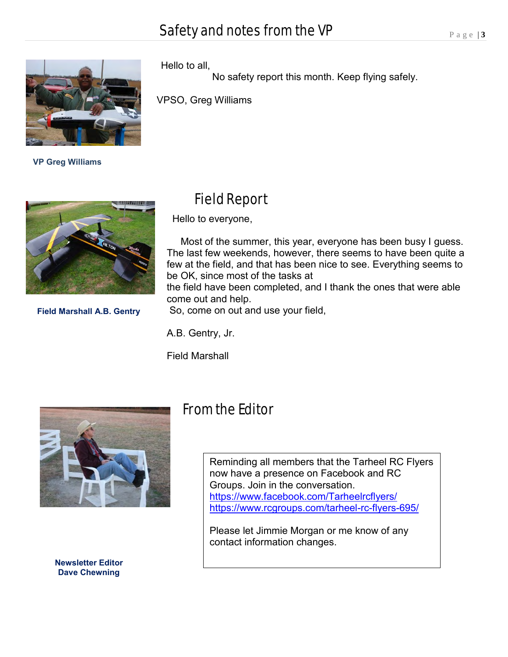

 **VP Greg Williams**



**Field Marshall A.B. Gentry**

## Field Report

Hello to everyone,

Hello to all,

VPSO, Greg Williams

 Most of the summer, this year, everyone has been busy I guess. The last few weekends, however, there seems to have been quite a few at the field, and that has been nice to see. Everything seems to be OK, since most of the tasks at the field have been completed, and I thank the ones that were able come out and help.

No safety report this month. Keep flying safely.

So, come on out and use your field,

A.B. Gentry, Jr.

Field Marshall



**Newsletter Editor Dave Chewning**

## From the Editor

Reminding all members that the Tarheel RC Flyers now have a presence on Facebook and RC Groups. Join in the conversation. <https://www.facebook.com/Tarheelrcflyers/> <https://www.rcgroups.com/tarheel-rc-flyers-695/>

Please let Jimmie Morgan or me know of any contact information changes.